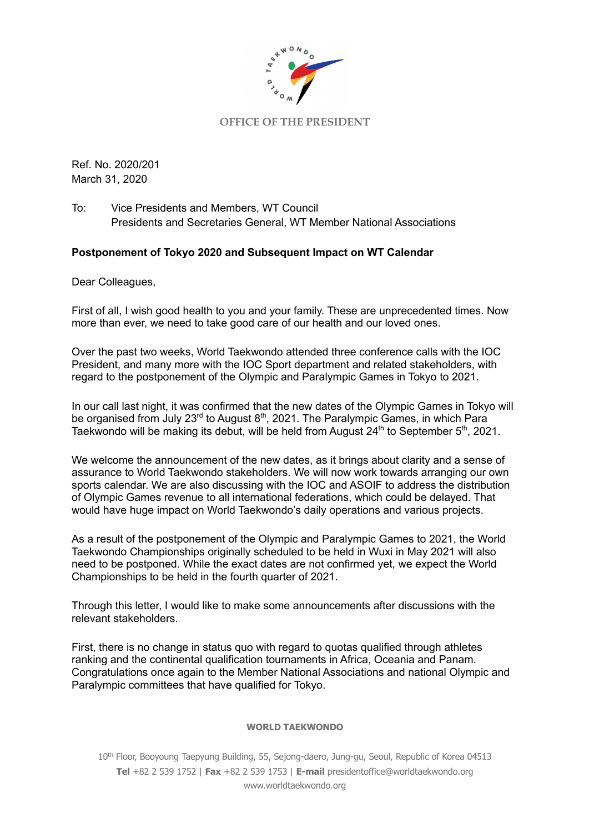

## **OFFICE OF THE PRESIDENT**

Ref. No. 2020/201 March 31, 2020

To: Vice Presidents and Members, WT Council Presidents and Secretaries General, WT Member National Associations

# **Postponement of Tokyo 2020 and Subsequent Impact on WT Calendar**

Dear Colleagues,

First of all, I wish good health to you and your family. These are unprecedented times. Now more than ever, we need to take good care of our health and our loved ones.

Over the past two weeks, World Taekwondo attended three conference calls with the IOC President, and many more with the IOC Sport department and related stakeholders, with regard to the postponement of the Olympic and Paralympic Games in Tokyo to 2021.

In our call last night, it was confirmed that the new dates of the Olympic Games in Tokyo will be organised from July 23<sup>rd</sup> to August 8<sup>th</sup>, 2021. The Paralympic Games, in which Para Taekwondo will be making its debut, will be held from August 24<sup>th</sup> to September 5<sup>th</sup>, 2021.

We welcome the announcement of the new dates, as it brings about clarity and a sense of assurance to World Taekwondo stakeholders. We will now work towards arranging our own sports calendar. We are also discussing with the IOC and ASOIF to address the distribution of Olympic Games revenue to all international federations, which could be delayed. That would have huge impact on World Taekwondo's daily operations and various projects.

As a result of the postponement of the Olympic and Paralympic Games to 2021, the World Taekwondo Championships originally scheduled to be held in Wuxi in May 2021 will also need to be postponed. While the exact dates are not confirmed yet, we expect the World Championships to be held in the fourth quarter of 2021.

Through this letter, I would like to make some announcements after discussions with the relevant stakeholders.

First, there is no change in status quo with regard to quotas qualified through athletes ranking and the continental qualification tournaments in Africa, Oceania and Panam. Congratulations once again to the Member National Associations and national Olympic and Paralympic committees that have qualified for Tokyo.

### **WORLD TAEKWONDO**

10<sup>th</sup> Floor, Booyoung Taepyung Building, 55, Sejong-daero, Jung-gu, Seoul, Republic of Korea 04513 **Tel** +82 2 539 1752 | **Fax** +82 2 539 1753 | **E-mail** presidentoffice@worldtaekwondo.org www.worldtaekwondo.org